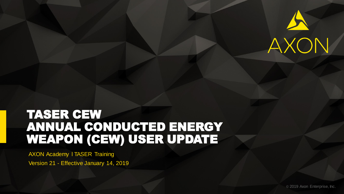

### TASER CEW ANNUAL CONDUCTED ENERGY WEAPON (CEW) USER UPDATE

AXON Academy l TASER Training Version 21 - Effective January 14, 2019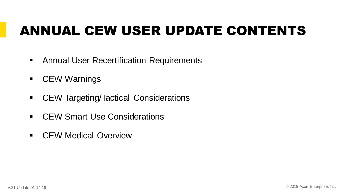# ANNUAL CEW USER UPDATE CONTENTS

- Annual User Recertification Requirements
- CEW Warnings
- CEW Targeting/Tactical Considerations
- CEW Smart Use Considerations
- CEW Medical Overview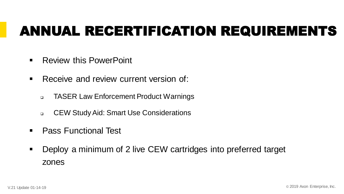## ANNUAL RECERTIFICATION REQUIREMENTS

- Review this PowerPoint
- Receive and review current version of:
	- ❑ TASER Law Enforcement Product Warnings
	- ❑ CEW Study Aid: Smart Use Considerations
- Pass Functional Test
- Deploy a minimum of 2 live CEW cartridges into preferred target zones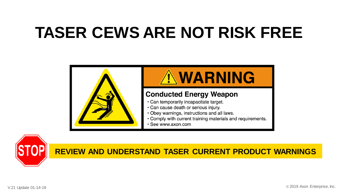# **TASER CEWS ARE NOT RISK FREE**





#### **REVIEW AND UNDERSTAND TASER CURRENT PRODUCT WARNINGS**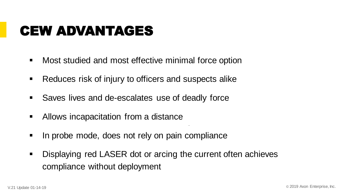### CEW ADVANTAGES

- Most studied and most effective minimal force option
- Reduces risk of injury to officers and suspects alike
- Saves lives and de-escalates use of deadly force
- Allows incapacitation from a distance
- **In probe mode, does not rely on pain compliance**
- Displaying red LASER dot or arcing the current often achieves compliance without deployment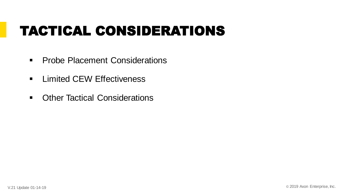## TACTICAL CONSIDERATIONS

- **Probe Placement Considerations**
- **EXECUTE: Limited CEW Effectiveness**
- Other Tactical Considerations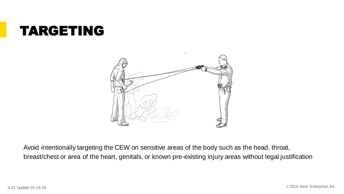### TARGETING



Avoid intentionally targeting the CEW on sensitive areas of the body such as the head, throat, breast/chest or area of the heart, genitals, or known pre-existing injury areas without legal justification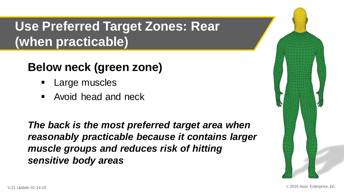### **Use Preferred Target Zones: Rear (when practicable)**

### **Below neck (green zone)**

- Large muscles
- Avoid head and neck

*The back is the most preferred target area when reasonably practicable because it contains larger muscle groups and reduces risk of hitting sensitive body areas*

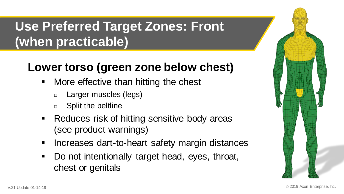### **Use Preferred Target Zones: Front (when practicable)**

### **Lower torso (green zone below chest)**

- More effective than hitting the chest
	- ❑ Larger muscles (legs)
	- ❑ Split the beltline
- Reduces risk of hitting sensitive body areas (see product warnings)
- Increases dart-to-heart safety margin distances
- Do not intentionally target head, eyes, throat, chest or genitals

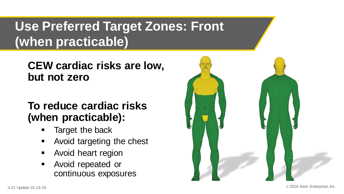### **Use Preferred Target Zones: Front (when practicable)**

### **CEW cardiac risks are low, but not zero**

### **To reduce cardiac risks (when practicable):**

- Target the back
- Avoid targeting the chest
- Avoid heart region
- Avoid repeated or continuous exposures

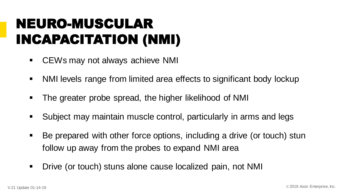# NEURO-MUSCULAR INCAPACITATION (NMI)

- CEWs may not always achieve NMI
- NMI levels range from limited area effects to significant body lockup
- The greater probe spread, the higher likelihood of NMI
- Subject may maintain muscle control, particularly in arms and legs
- Be prepared with other force options, including a drive (or touch) stun follow up away from the probes to expand NMI area
- Drive (or touch) stuns alone cause localized pain, not NMI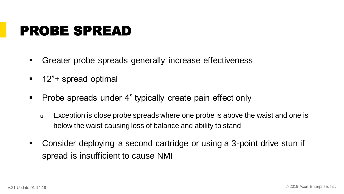### PROBE SPREAD

- Greater probe spreads generally increase effectiveness
- 12"+ spread optimal
- Probe spreads under 4" typically create pain effect only
	- ❑ Exception is close probe spreads where one probe is above the waist and one is below the waist causing loss of balance and ability to stand
- Consider deploying a second cartridge or using a 3-point drive stun if spread is insufficient to cause NMI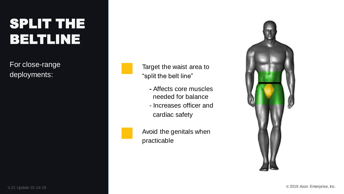# SPLIT THE BELTLINE

For close-range deployments:

Target the waist area to "split the belt line"

- **-** Affects core muscles needed for balance
- Increases officer and cardiac safety

Avoid the genitals when practicable

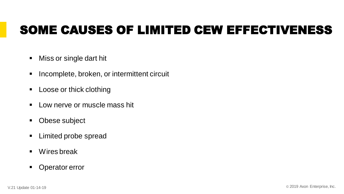### SOME CAUSES OF LIMITED CEW EFFECTIVENESS

- Miss or single dart hit
- Incomplete, broken, or intermittent circuit
- Loose or thick clothing
- Low nerve or muscle mass hit
- Obese subject
- Limited probe spread
- Wires break
- Operator error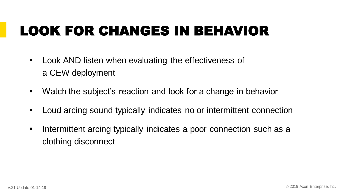# LOOK FOR CHANGES IN BEHAVIOR

- Look AND listen when evaluating the effectiveness of a CEW deployment
- Watch the subject's reaction and look for a change in behavior
- Loud arcing sound typically indicates no or intermittent connection
- **EXTERN** Intermittent arcing typically indicates a poor connection such as a clothing disconnect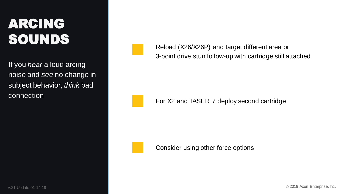# ARCING SOUNDS

If you *hear* a loud arcing noise and *see* no change in subject behavior, *think* bad connection

Reload (X26/X26P) and target different area or 3-point drive stun follow-up with cartridge still attached

For X2 and TASER 7 deploy second cartridge

Consider using other force options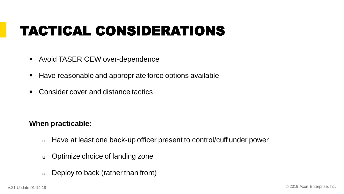# TACTICAL CONSIDERATIONS

- Avoid TASER CEW over-dependence
- Have reasonable and appropriate force options available
- Consider cover and distance tactics

#### **When practicable:**

- ❑ Have at least one back-up officer present to control/cuff under power
- ❑ Optimize choice of landing zone
- ❑ Deploy to back (rather than front)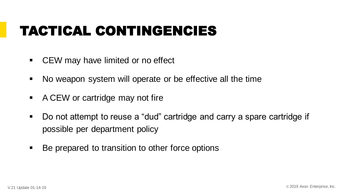## TACTICAL CONTINGENCIES

- CEW may have limited or no effect
- No weapon system will operate or be effective all the time
- A CEW or cartridge may not fire
- Do not attempt to reuse a "dud" cartridge and carry a spare cartridge if possible per department policy
- Be prepared to transition to other force options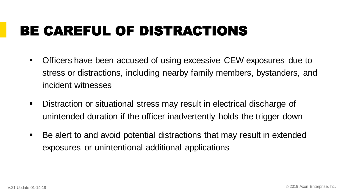# BE CAREFUL OF DISTRACTIONS

- Officers have been accused of using excessive CEW exposures due to stress or distractions, including nearby family members, bystanders, and incident witnesses
- Distraction or situational stress may result in electrical discharge of unintended duration if the officer inadvertently holds the trigger down
- Be alert to and avoid potential distractions that may result in extended exposures or unintentional additional applications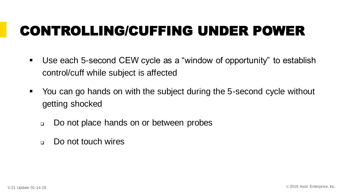# CONTROLLING/CUFFING UNDER POWER

- Use each 5-second CEW cycle as a "window of opportunity" to establish control/cuff while subject is affected
- You can go hands on with the subject during the 5-second cycle without getting shocked
	- ❑ Do not place hands on or between probes
	- □ Do not touch wires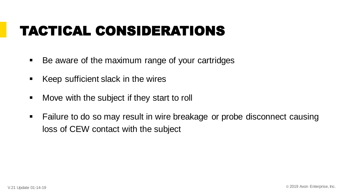## TACTICAL CONSIDERATIONS

- Be aware of the maximum range of your cartridges
- Keep sufficient slack in the wires
- Move with the subject if they start to roll
- Failure to do so may result in wire breakage or probe disconnect causing loss of CEW contact with the subject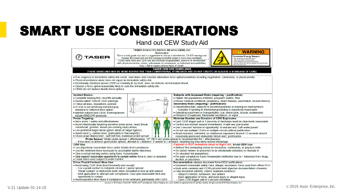#### Hand out CEW Study Aid



January 9, 2019 (Axon, 'Protect Life,' TASER, and <sup>7</sup>) are trademarks of Axon Enterprise, Inc., some of which are registered in the US and other countries. All rights reserved. © 2019 Axon Enterprise, Inc.)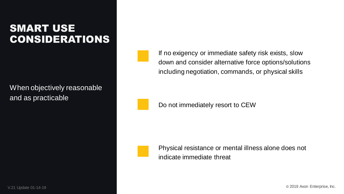When objectively reasonable and as practicable

If no exigency or immediate safety risk exists, slow down and consider alternative force options/solutions including negotiation, commands, or physical skills

Do not immediately resort to CEW

Physical resistance or mental illness alone does not indicate immediate threat

V.21 Update 01-14-19 **Case Contract Contract Contract Contract Contract Contract Contract Contract Contract Contract Contract Contract Contract Contract Contract Contract Contract Contract Contract Contract Contract Contra**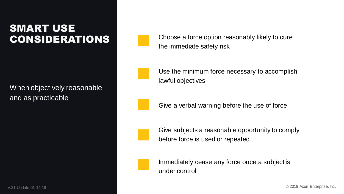When objectively reasonable and as practicable

Choose a force option reasonably likely to cure the immediate safety risk

Use the minimum force necessary to accomplish lawful objectives

Give a verbal warning before the use of force



Give subjects a reasonable opportunity to comply before force is used or repeated



Immediately cease any force once a subject is under control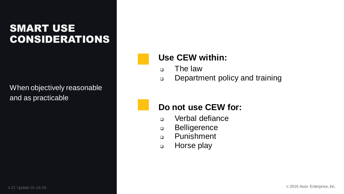When objectively reasonable and as practicable

#### **Use CEW within:**

- ❑ The law
- ❑ Department policy and training

#### **Do not use CEW for:**

- ❑ Verbal defiance
- ❑ Belligerence
- ❑ Punishment
- ❑ Horse play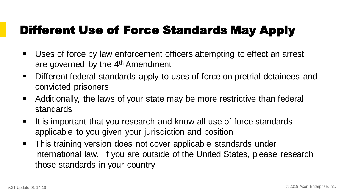### Different Use of Force Standards May Apply

- Uses of force by law enforcement officers attempting to effect an arrest are governed by the 4<sup>th</sup> Amendment
- Different federal standards apply to uses of force on pretrial detainees and convicted prisoners
- Additionally, the laws of your state may be more restrictive than federal standards
- It is important that you research and know all use of force standards applicable to you given your jurisdiction and position
- **· This training version does not cover applicable standards under** international law. If you are outside of the United States, please research those standards in your country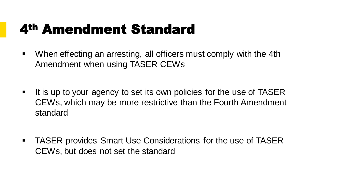### 4th Amendment Standard

- When effecting an arresting, all officers must comply with the 4th Amendment when using TASER CEWs
- It is up to your agency to set its own policies for the use of TASER CEWs, which may be more restrictive than the Fourth Amendment standard
- TASER provides Smart Use Considerations for the use of TASER CEWs, but does not set the standard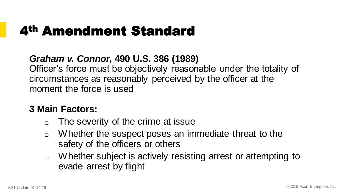### 4th Amendment Standard

#### *Graham v. Connor,* **490 U.S. 386 (1989)**

Officer's force must be objectively reasonable under the totality of circumstances as reasonably perceived by the officer at the moment the force is used

#### **3 Main Factors:**

- ❑ The severity of the crime at issue
- ❑ Whether the suspect poses an immediate threat to the safety of the officers or others
- ❑ Whether subject is actively resisting arrest or attempting to evade arrest by flight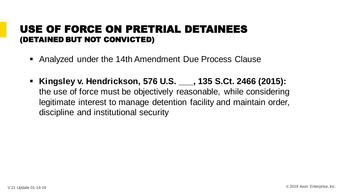#### USE OF FORCE ON PRETRIAL DETAINEES (DETAINED BUT NOT CONVICTED)

- Analyzed under the 14th Amendment Due Process Clause
- **Kingsley v. Hendrickson, 576 U.S. \_\_\_, 135 S.Ct. 2466 (2015):**  the use of force must be objectively reasonable, while considering legitimate interest to manage detention facility and maintain order, discipline and institutional security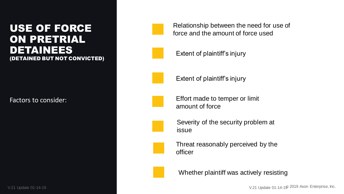#### USE OF FORCE ON PRETRIAL DETAINEES (DETAINED BUT NOT CONVICTED)

**Factors to consider:**<br>Example:<br>The Update 01-14-19

Relationship between the need for use of force and the amount of force used

Extent of plaintiff's injury



Extent of plaintiff's injury



Effort made to temper or limit amount of force



Severity of the security problem at issue



Threat reasonably perceived by the officer



Whether plaintiff was actively resisting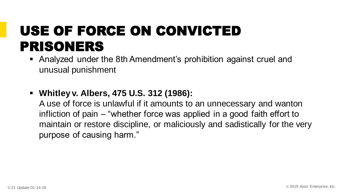# USE OF FORCE ON CONVICTED PRISONERS

- Analyzed under the 8th Amendment's prohibition against cruel and unusual punishment
- **Whitley v. Albers, 475 U.S. 312 (1986):**

A use of force is unlawful if it amounts to an unnecessary and wanton infliction of pain – "whether force was applied in a good faith effort to maintain or restore discipline, or maliciously and sadistically for the very purpose of causing harm."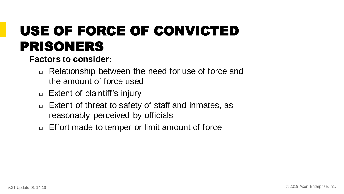# USE OF FORCE OF CONVICTED PRISONERS

**Factors to consider:**

- ❑ Relationship between the need for use of force and the amount of force used
- ❑ Extent of plaintiff's injury
- ❑ Extent of threat to safety of staff and inmates, as reasonably perceived by officials
- ❑ Effort made to temper or limit amount of force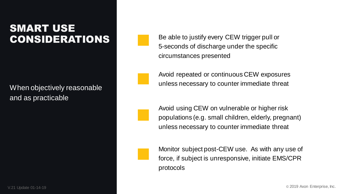When objectively reasonable and as practicable

Be able to justify every CEW trigger pull or 5-seconds of discharge under the specific circumstances presented

Avoid repeated or continuous CEW exposures unless necessary to counter immediate threat

Avoid using CEW on vulnerable or higher risk populations (e.g. small children, elderly, pregnant) unless necessary to counter immediate threat

Monitor subject post-CEW use. As with any use of force, if subject is unresponsive, initiate EMS/CPR protocols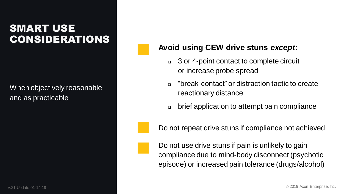When objectively reasonable and as practicable

#### **Avoid using CEW drive stuns** *except***:**

- ❑ 3 or 4-point contact to complete circuit or increase probe spread
- ❑ "break-contact" or distraction tactic to create reactionary distance
- ❑ brief application to attempt pain compliance

Do not repeat drive stuns if compliance not achieved

Do not use drive stuns if pain is unlikely to gain compliance due to mind-body disconnect (psychotic episode) or increased pain tolerance (drugs/alcohol)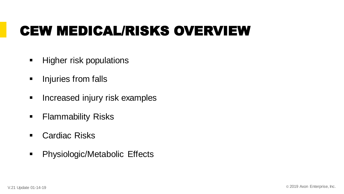# CEW MEDICAL/RISKS OVERVIEW

- **EXECUTE:** Higher risk populations
- **·** Injuries from falls
- **EXP** Increased injury risk examples
- **Exammability Risks**
- Cardiac Risks
- Physiologic/Metabolic Effects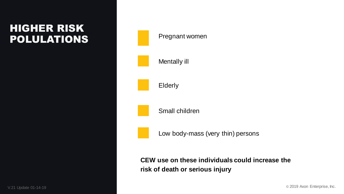### HIGHER RISK POLULATIONS



**CEW use on these individuals could increase the risk of death or serious injury**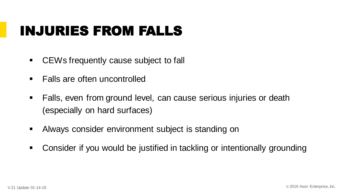### INJURIES FROM FALLS

- CEWs frequently cause subject to fall
- Falls are often uncontrolled
- Falls, even from ground level, can cause serious injuries or death (especially on hard surfaces)
- **EXEDENT Always consider environment subject is standing on**
- Consider if you would be justified in tackling or intentionally grounding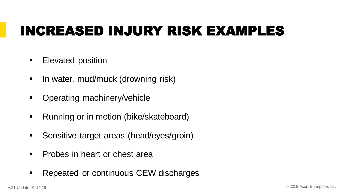# INCREASED INJURY RISK EXAMPLES

- **Elevated position**
- **E** In water, mud/muck (drowning risk)
- Operating machinery/vehicle
- Running or in motion (bike/skateboard)
- **EXEC** Sensitive target areas (head/eyes/groin)
- Probes in heart or chest area
- Repeated or continuous CEW discharges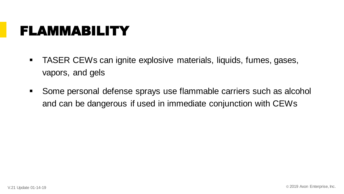### FLAMMABILITY

- TASER CEWs can ignite explosive materials, liquids, fumes, gases, vapors, and gels
- Some personal defense sprays use flammable carriers such as alcohol and can be dangerous if used in immediate conjunction with CEWs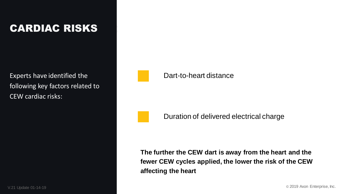### CARDIAC CARDIAC RISKS

Experts have identified the<br>following key factors related<br>CEW cardiac risks:<br>All Update 01-14-19 following key factors related to CEW cardiac risks:



#### Dart-to-heart distance

Duration of delivered electrical charge

**The further the CEW dart is away from the heart and the fewer CEW cycles applied, the lower the risk of the CEW affecting the heart**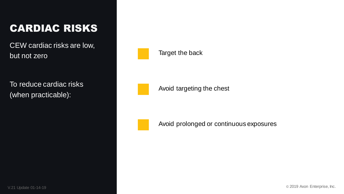### CARDIAC RISKS

01-14-19 CEW cardiac risks are low, but not zero

To reduce cardiac risks (when practicable):



Avoid targeting the chest



Avoid prolonged or continuous exposures

V.21 Update 01-14-19 **Case 2019** Axon Enterprise, Inc.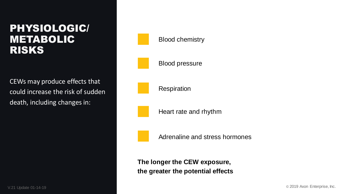#### PHYSIOLOGIC/ **METABOLIC** RISKS

**CEWs may produce effects that<br>could increase the risk of sudde<br>death, including changes in:<br>Finanges in:<br>State of-14-19** could increase the risk of sudden death, including changes in: